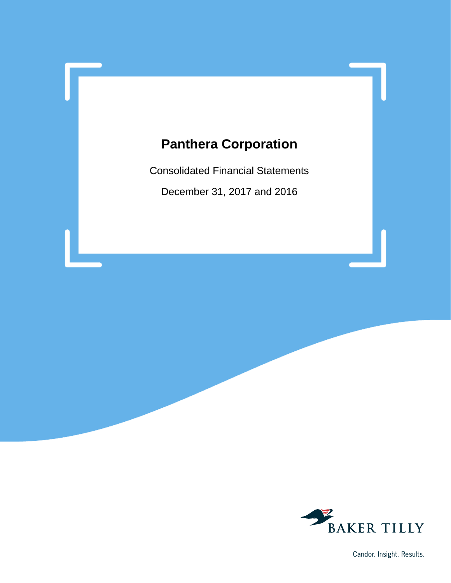Consolidated Financial Statements

December 31, 2017 and 2016



Candor. Insight. Results.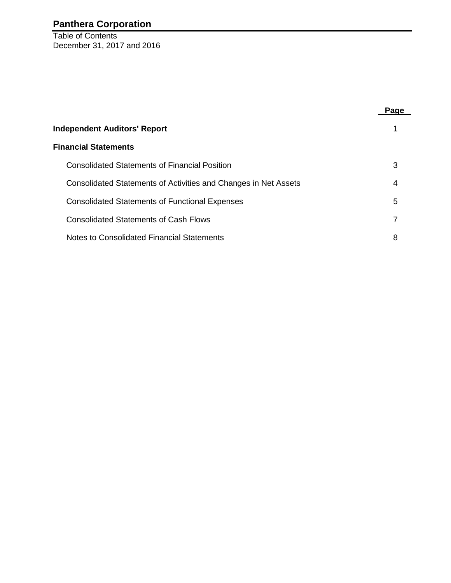Table of Contents December 31, 2017 and 2016

|                                                                 | Page |
|-----------------------------------------------------------------|------|
| <b>Independent Auditors' Report</b>                             |      |
| <b>Financial Statements</b>                                     |      |
| <b>Consolidated Statements of Financial Position</b>            | 3    |
| Consolidated Statements of Activities and Changes in Net Assets | 4    |
| <b>Consolidated Statements of Functional Expenses</b>           | 5    |
| <b>Consolidated Statements of Cash Flows</b>                    | 7    |
| Notes to Consolidated Financial Statements                      | 8    |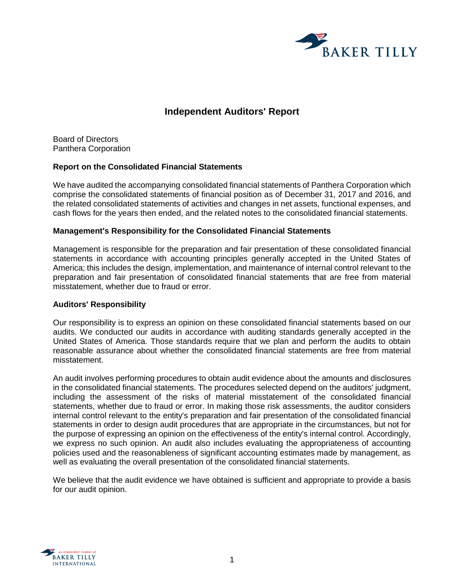

# **Independent Auditors' Report**

Board of Directors Panthera Corporation

#### **Report on the Consolidated Financial Statements**

We have audited the accompanying consolidated financial statements of Panthera Corporation which comprise the consolidated statements of financial position as of December 31, 2017 and 2016, and the related consolidated statements of activities and changes in net assets, functional expenses, and cash flows for the years then ended, and the related notes to the consolidated financial statements.

#### **Management's Responsibility for the Consolidated Financial Statements**

Management is responsible for the preparation and fair presentation of these consolidated financial statements in accordance with accounting principles generally accepted in the United States of America; this includes the design, implementation, and maintenance of internal control relevant to the preparation and fair presentation of consolidated financial statements that are free from material misstatement, whether due to fraud or error.

#### **Auditors' Responsibility**

Our responsibility is to express an opinion on these consolidated financial statements based on our audits. We conducted our audits in accordance with auditing standards generally accepted in the United States of America. Those standards require that we plan and perform the audits to obtain reasonable assurance about whether the consolidated financial statements are free from material misstatement.

An audit involves performing procedures to obtain audit evidence about the amounts and disclosures in the consolidated financial statements. The procedures selected depend on the auditors' judgment, including the assessment of the risks of material misstatement of the consolidated financial statements, whether due to fraud or error. In making those risk assessments, the auditor considers internal control relevant to the entity's preparation and fair presentation of the consolidated financial statements in order to design audit procedures that are appropriate in the circumstances, but not for the purpose of expressing an opinion on the effectiveness of the entity's internal control. Accordingly, we express no such opinion. An audit also includes evaluating the appropriateness of accounting policies used and the reasonableness of significant accounting estimates made by management, as well as evaluating the overall presentation of the consolidated financial statements.

We believe that the audit evidence we have obtained is sufficient and appropriate to provide a basis for our audit opinion.

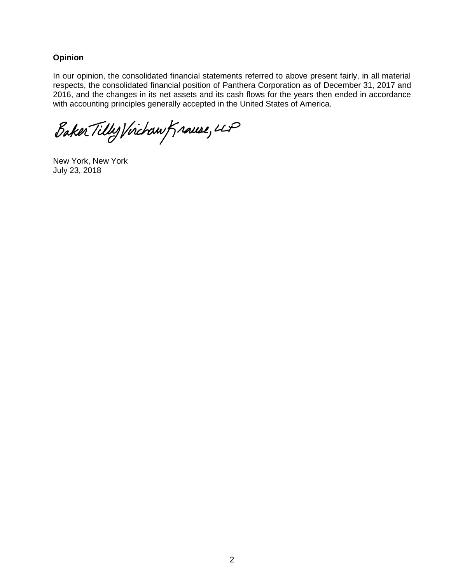#### **Opinion**

In our opinion, the consolidated financial statements referred to above present fairly, in all material respects, the consolidated financial position of Panthera Corporation as of December 31, 2017 and 2016, and the changes in its net assets and its cash flows for the years then ended in accordance with accounting principles generally accepted in the United States of America.

Baker Tilly Virchaw Krause, LLP

New York, New York July 23, 2018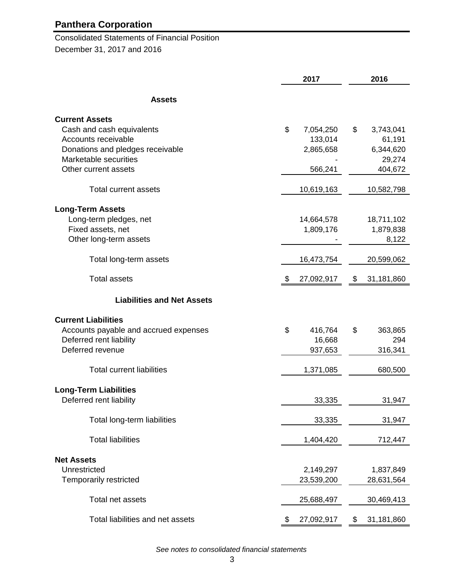Consolidated Statements of Financial Position December 31, 2017 and 2016

|                                                                  | 2017                    | 2016                 |
|------------------------------------------------------------------|-------------------------|----------------------|
| <b>Assets</b>                                                    |                         |                      |
| <b>Current Assets</b>                                            |                         |                      |
| Cash and cash equivalents                                        | \$<br>7,054,250         | \$<br>3,743,041      |
| Accounts receivable                                              | 133,014                 | 61,191               |
| Donations and pledges receivable                                 | 2,865,658               | 6,344,620            |
| Marketable securities                                            |                         | 29,274               |
| Other current assets                                             | 566,241                 | 404,672              |
| <b>Total current assets</b>                                      | 10,619,163              | 10,582,798           |
| <b>Long-Term Assets</b>                                          |                         |                      |
| Long-term pledges, net                                           | 14,664,578              | 18,711,102           |
| Fixed assets, net                                                | 1,809,176               | 1,879,838            |
| Other long-term assets                                           |                         | 8,122                |
| Total long-term assets                                           | 16,473,754              | 20,599,062           |
| <b>Total assets</b>                                              | 27,092,917<br>- \$      | 31,181,860<br>\$     |
| <b>Liabilities and Net Assets</b>                                |                         |                      |
|                                                                  |                         |                      |
| <b>Current Liabilities</b>                                       |                         |                      |
| Accounts payable and accrued expenses<br>Deferred rent liability | \$<br>416,764<br>16,668 | \$<br>363,865<br>294 |
| Deferred revenue                                                 | 937,653                 | 316,341              |
|                                                                  |                         |                      |
| <b>Total current liabilities</b>                                 | 1,371,085               | 680,500              |
| <b>Long-Term Liabilities</b>                                     |                         |                      |
| Deferred rent liability                                          | 33,335                  | 31,947               |
| Total long-term liabilities                                      | 33,335                  | 31,947               |
| <b>Total liabilities</b>                                         | 1,404,420               | 712,447              |
| <b>Net Assets</b>                                                |                         |                      |
| Unrestricted                                                     | 2,149,297               | 1,837,849            |
| <b>Temporarily restricted</b>                                    | 23,539,200              | 28,631,564           |
| Total net assets                                                 | 25,688,497              | 30,469,413           |
| Total liabilities and net assets                                 | 27,092,917<br>\$        | 31,181,860<br>\$     |
|                                                                  |                         |                      |

*See notes to consolidated financial statements*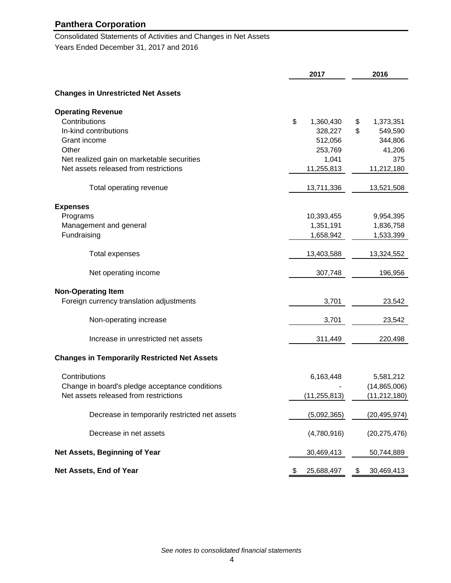Consolidated Statements of Activities and Changes in Net Assets Years Ended December 31, 2017 and 2016

|                                                     |    | 2017           | 2016             |
|-----------------------------------------------------|----|----------------|------------------|
| <b>Changes in Unrestricted Net Assets</b>           |    |                |                  |
| <b>Operating Revenue</b>                            |    |                |                  |
| Contributions                                       | \$ | 1,360,430      | \$<br>1,373,351  |
| In-kind contributions                               |    | 328,227        | \$<br>549,590    |
| Grant income                                        |    | 512,056        | 344,806          |
| Other                                               |    | 253,769        | 41,206           |
| Net realized gain on marketable securities          |    | 1,041          | 375              |
| Net assets released from restrictions               |    | 11,255,813     | 11,212,180       |
| Total operating revenue                             |    | 13,711,336     | 13,521,508       |
| <b>Expenses</b>                                     |    |                |                  |
| Programs                                            |    | 10,393,455     | 9,954,395        |
| Management and general                              |    | 1,351,191      | 1,836,758        |
| Fundraising                                         |    | 1,658,942      | 1,533,399        |
| Total expenses                                      |    | 13,403,588     | 13,324,552       |
| Net operating income                                |    | 307,748        | 196,956          |
| <b>Non-Operating Item</b>                           |    |                |                  |
| Foreign currency translation adjustments            |    | 3,701          | 23,542           |
| Non-operating increase                              |    | 3,701          | 23,542           |
| Increase in unrestricted net assets                 |    | 311,449        | 220,498          |
| <b>Changes in Temporarily Restricted Net Assets</b> |    |                |                  |
| Contributions                                       |    | 6,163,448      | 5,581,212        |
| Change in board's pledge acceptance conditions      |    |                | (14,865,006)     |
| Net assets released from restrictions               |    | (11, 255, 813) | (11, 212, 180)   |
| Decrease in temporarily restricted net assets       |    | (5,092,365)    | (20,495,974)     |
| Decrease in net assets                              |    | (4,780,916)    | (20, 275, 476)   |
| Net Assets, Beginning of Year                       |    | 30,469,413     | 50,744,889       |
| Net Assets, End of Year                             | P. | 25,688,497     | \$<br>30,469,413 |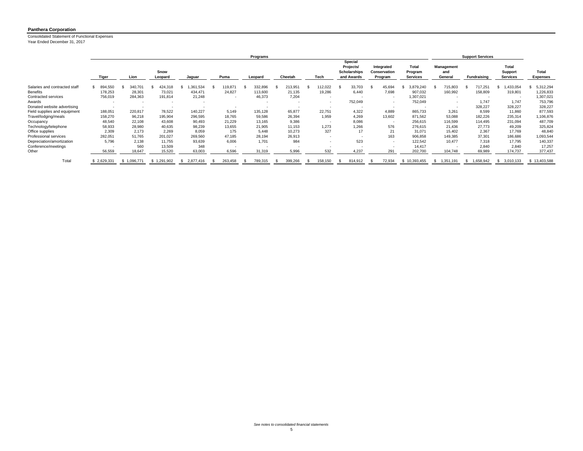Consolidated Statement of Functional Expenses

Year Ended December 31, 2017

|                               | Programs    |             |                 |           |                |  |         |                |         |                                                           | <b>Support Services</b> |                                       |                                     |                              |                    |                                                   |                          |
|-------------------------------|-------------|-------------|-----------------|-----------|----------------|--|---------|----------------|---------|-----------------------------------------------------------|-------------------------|---------------------------------------|-------------------------------------|------------------------------|--------------------|---------------------------------------------------|--------------------------|
|                               | Tiger       | Lion        | Snow<br>Leopard | Jaguar    | Puma           |  | Leopard | Cheetah        | Tech    | Special<br>Projects/<br><b>Scholarships</b><br>and Awards |                         | Integrated<br>Conservation<br>Program | Total<br>Program<br><b>Services</b> | Management<br>and<br>General | <b>Fundraising</b> | <b>Total</b><br><b>Support</b><br><b>Services</b> | Total<br><b>Expenses</b> |
| Salaries and contracted staff | 894,550     | 340.701     | 424,318         | 361,534   | 119,871        |  | 332,896 | 213,951        | 112,022 | 33,703                                                    |                         | 45,694                                | 3,879,240                           | 715,803                      | 717,251            | ,433,054                                          | 5,312,294                |
| <b>Benefits</b>               | 178,253     | 28,301      | 73,021          | 434,471   | 24,827         |  | 113,600 | 21,135         | 19,286  | 6.440                                                     |                         | 7.698                                 | 907,032                             | 160,992                      | 158,809            | 319,801                                           | 1,226,833                |
| Contracted services           | 756,019     | 284.363     | 191,814         | 21,248    |                |  | 46,373  | 7.204          |         |                                                           |                         |                                       | 1,307,021                           |                              |                    |                                                   | 1,307,021                |
| Awards                        |             |             |                 |           |                |  |         |                |         | 752,049                                                   |                         |                                       | 752,049                             |                              | 1.747              | 1.747                                             | 753,796                  |
| Donated website advertising   |             |             |                 |           |                |  |         |                |         |                                                           |                         |                                       |                                     |                              | 328,227            | 328,227                                           | 328,227                  |
| Field supplies and equipment  | 188,051     | 220,817     | 78,522          | 140,227   | 5.149          |  | 135,128 | 65,877         | 22,751  | 4,322                                                     |                         | 4.889                                 | 865,733                             | 3,261                        | 8.599              | 11,860                                            | 877,593                  |
| Travel/lodging/meals          | 158,270     | 96.218      | 195,904         | 296,595   | 18,765         |  | 59,586  | 26,394         | 1,959   | 4.269                                                     |                         | 13,602                                | 871,562                             | 53,088                       | 182,226            | 235,314                                           | 1,106,876                |
| Occupancy                     | 48,540      | 22,108      | 43,608          | 90,493    | 21,229         |  | 13,165  | 9,386          |         | 8,086                                                     |                         |                                       | 256,615                             | 116,599                      | 114.495            | 231,094                                           | 487,709                  |
| Technology/telephone          | 58,933      | 28,980      | 40,635          | 98,239    | 13,655         |  | 21,905  | 11,153         | 1,273   | 1,266                                                     |                         | 576                                   | 276,615                             | 21,436                       | 27,773             | 49,209                                            | 325,824                  |
| Office supplies               | 2,309       | 2.173       | 2,269           | 8,059     | 175            |  | 5.448   | 10,273         | 327     | 17                                                        |                         | 21                                    | 31,071                              | 15,402                       | 2,367              | 17,769                                            | 48,840                   |
| Professional services         | 282,051     | 51,765      | 201,027         | 269,560   | 47,185         |  | 28,194  | 26,913         |         |                                                           |                         | 163                                   | 906,858                             | 149,385                      | 37.301             | 186,686                                           | 1,093,544                |
| Depreciation/amortization     | 5,796       | 2.138       | 11,755          | 93,639    | 6.006          |  | 1.701   | 984            |         | 523                                                       |                         |                                       | 122,542                             | 10,477                       | 7.318              | 17,795                                            | 140,337                  |
| Conference/meetings           |             | 560         | 13,509          | 348       | . .            |  |         |                |         |                                                           |                         |                                       | 14.417                              |                              | 2,840              | 2,840                                             | 17,257                   |
| Other                         | 56,559      | 18.647      | 15,520          | 63,003    | 6.596          |  | 31,319  | 5,996          | 532     | 4.237                                                     |                         | 291                                   | 202,700                             | 104,748                      | 69,989             | 174,737                                           | 377,437                  |
| Total                         | \$2,629,331 | \$1,096,771 | \$1,291,902     | 2,877,416 | 263,458<br>-S. |  | 789,315 | 399,266<br>-SS | 158,150 | 814,912                                                   |                         | 72,934                                | \$10,393,455                        | 1,351,191                    | 1,658,942<br>S.    | 3,010,133<br>- 35                                 | \$13,403,588             |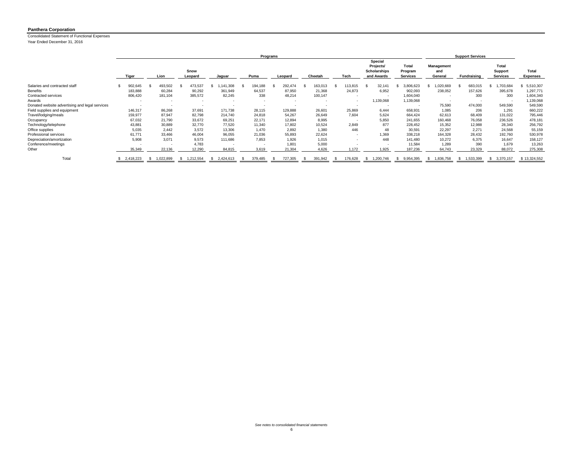Consolidated Statement of Functional Expenses

Year Ended December 31, 2016

|                                                | Programs                 |  |           |  |                 |  |           |  |                          |         |         | <b>Support Services</b>  |      |                                                                  |                                     |  |                              |  |             |                                            |           |                          |
|------------------------------------------------|--------------------------|--|-----------|--|-----------------|--|-----------|--|--------------------------|---------|---------|--------------------------|------|------------------------------------------------------------------|-------------------------------------|--|------------------------------|--|-------------|--------------------------------------------|-----------|--------------------------|
|                                                | Tiger                    |  | Lion      |  | Snow<br>Leopard |  | Jaguar    |  | Puma                     | Leopard | Cheetah | Tech                     |      | <b>Special</b><br>Projects/<br><b>Scholarships</b><br>and Awards | Total<br>Program<br><b>Services</b> |  | Management<br>and<br>General |  | Fundraising | Total<br><b>Support</b><br><b>Services</b> |           | Total<br><b>Expenses</b> |
| Salaries and contracted staff                  | 902,645                  |  | 493,502   |  | 473,537         |  | 141,308   |  | 194,188                  | 292,474 | 163,013 | 113,815                  |      | 32,141                                                           | 3,806,623                           |  | ,020,669                     |  | 683,015     |                                            | ,703,684  | 5,510,307                |
| Benefits                                       | 183,888                  |  | 60,284    |  | 90,292          |  | 361,949   |  | 64,537                   | 87,950  | 21,368  | 24,873                   |      | 6,952                                                            | 902,093                             |  | 238,052                      |  | 157,626     |                                            | 395,678   | 1,297,771                |
| Contracted services                            | 806,420                  |  | 181,104   |  | 385,572         |  | 82,245    |  | 338                      | 48,214  | 100,147 | $\sim$                   |      |                                                                  | 1,604,040                           |  |                              |  | 300         |                                            | 300       | 1,604,340                |
| Awards                                         | $\overline{\phantom{a}}$ |  |           |  |                 |  |           |  | $\overline{\phantom{a}}$ | ۰.      |         |                          |      | 1,139,068                                                        | 1,139,068                           |  |                              |  | ۰.          |                                            |           | 1,139,068                |
| Donated website advertising and legal services |                          |  |           |  |                 |  |           |  |                          |         |         |                          |      |                                                                  | $\overline{\phantom{a}}$            |  | 75,590                       |  | 474,000     |                                            | 549,590   | 549,590                  |
| Field supplies and equipment                   | 146,317                  |  | 86,268    |  | 37,691          |  | 171,738   |  | 28,115                   | 129,888 | 26,601  | 25,869                   |      | 6.444                                                            | 658,931                             |  | 1,085                        |  | 206         |                                            | 1,291     | 660,222                  |
| Travel/lodging/meals                           | 159,977                  |  | 87,947    |  | 82,798          |  | 214,740   |  | 24,818                   | 54,267  | 26,649  | 7.604                    |      | 5,624                                                            | 664,424                             |  | 62,613                       |  | 68,409      |                                            | 131,022   | 795,446                  |
| Occupancy                                      | 67,032                   |  | 21,790    |  | 33,672          |  | 69,251    |  | 22,171                   | 12,894  | 8,995   | $\overline{\phantom{a}}$ |      | 5,850                                                            | 241,655                             |  | 160,468                      |  | 76,058      |                                            | 236,526   | 478,181                  |
| Technology/telephone                           | 43,881                   |  | 30,889    |  | 32,770          |  | 77.520    |  | 11,340                   | 17,802  | 10,524  | 2.849                    |      | 877                                                              | 228,452                             |  | 15,352                       |  | 12,988      |                                            | 28,340    | 256,792                  |
| Office supplies                                | 5,035                    |  | 2.442     |  | 3,572           |  | 13,306    |  | 1.470                    | 2,892   | 1,380   | 446                      |      | 48                                                               | 30,591                              |  | 22,297                       |  | 2.271       |                                            | 24,568    | 55,159                   |
| Professional services                          | 61.771                   |  | 33,466    |  | 46,004          |  | 96,055    |  | 21,036                   | 55,893  | 22,624  |                          |      | 1,369                                                            | 338,218                             |  | 164,328                      |  | 28,432      |                                            | 192,760   | 530,978                  |
| Depreciation/amortization                      | 5,908                    |  | 3,071     |  | 9,573           |  | 111,686   |  | 7,853                    | 1,926   | 1,015   |                          |      | 448                                                              | 141,480                             |  | 10,272                       |  | 6,375       |                                            | 16.647    | 158,127                  |
| Conference/meetings                            |                          |  |           |  | 4.783           |  |           |  |                          | 1,801   | 5,000   |                          |      |                                                                  | 11.584                              |  | 1,289                        |  | 390         |                                            | 1.679     | 13,263                   |
| Other                                          | 35,349                   |  | 22,136    |  | 12,290          |  | 84,815    |  | 3,619                    | 21,304  | 4,626   | 1.172                    |      | 1,925                                                            | 187,236                             |  | 64,743                       |  | 23,329      |                                            | 88,072    | 275,308                  |
| Total                                          | 2,418,223                |  | 1,022,899 |  | 1,212,554       |  | 2,424,613 |  | 379,485                  | 727,305 | 391,942 | 176,628                  | - 55 | 1,200,746                                                        | 9,954,395                           |  | 1,836,758                    |  | 1,533,399   |                                            | 3,370,157 | \$13,324,552             |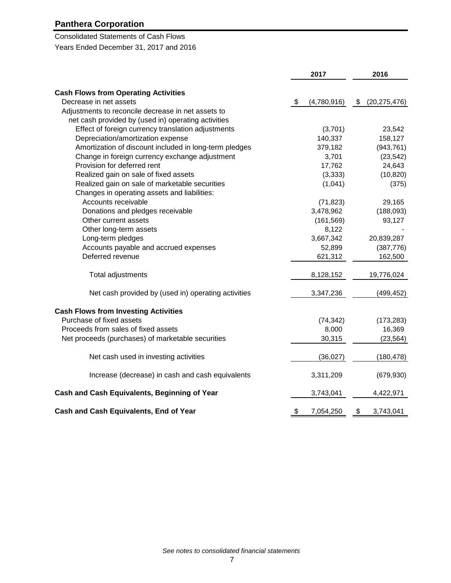## Consolidated Statements of Cash Flows

Years Ended December 31, 2017 and 2016

|                                                                                             | 2017               | 2016            |
|---------------------------------------------------------------------------------------------|--------------------|-----------------|
| <b>Cash Flows from Operating Activities</b>                                                 |                    |                 |
| Decrease in net assets                                                                      | \$                 | \$              |
| Adjustments to reconcile decrease in net assets to                                          | (4,780,916)        | (20, 275, 476)  |
| net cash provided by (used in) operating activities                                         |                    |                 |
| Effect of foreign currency translation adjustments                                          |                    |                 |
|                                                                                             | (3,701)<br>140,337 | 23,542          |
| Depreciation/amortization expense<br>Amortization of discount included in long-term pledges |                    | 158,127         |
|                                                                                             | 379,182            | (943, 761)      |
| Change in foreign currency exchange adjustment<br>Provision for deferred rent               | 3,701              | (23, 542)       |
|                                                                                             | 17,762             | 24,643          |
| Realized gain on sale of fixed assets                                                       | (3, 333)           | (10, 820)       |
| Realized gain on sale of marketable securities                                              | (1,041)            | (375)           |
| Changes in operating assets and liabilities:                                                |                    |                 |
| Accounts receivable                                                                         | (71, 823)          | 29,165          |
| Donations and pledges receivable                                                            | 3,478,962          | (188,093)       |
| Other current assets                                                                        | (161, 569)         | 93,127          |
| Other long-term assets                                                                      | 8,122              |                 |
| Long-term pledges                                                                           | 3,667,342          | 20,839,287      |
| Accounts payable and accrued expenses                                                       | 52,899             | (387, 776)      |
| Deferred revenue                                                                            | 621,312            | 162,500         |
| Total adjustments                                                                           | 8,128,152          | 19,776,024      |
| Net cash provided by (used in) operating activities                                         |                    |                 |
|                                                                                             | 3,347,236          | (499, 452)      |
| <b>Cash Flows from Investing Activities</b>                                                 |                    |                 |
| Purchase of fixed assets                                                                    | (74, 342)          | (173, 283)      |
| Proceeds from sales of fixed assets                                                         | 8,000              | 16,369          |
| Net proceeds (purchases) of marketable securities                                           | 30,315             | (23, 564)       |
| Net cash used in investing activities                                                       | (36, 027)          | (180, 478)      |
| Increase (decrease) in cash and cash equivalents                                            | 3,311,209          | (679, 930)      |
| Cash and Cash Equivalents, Beginning of Year                                                | 3,743,041          | 4,422,971       |
| Cash and Cash Equivalents, End of Year                                                      | \$<br>7,054,250    | \$<br>3,743,041 |

*See notes to consolidated financial statements*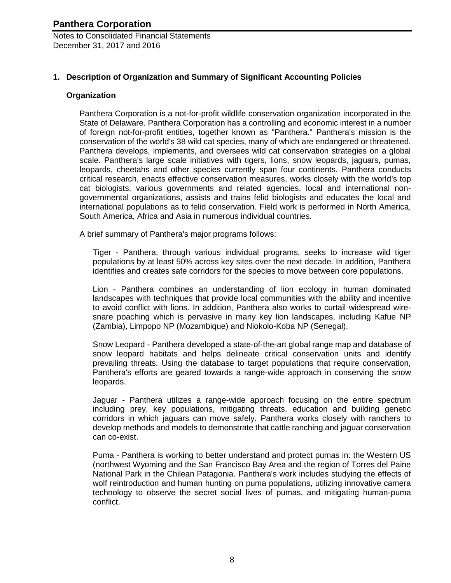### **1. Description of Organization and Summary of Significant Accounting Policies**

#### **Organization**

Panthera Corporation is a not-for-profit wildlife conservation organization incorporated in the State of Delaware. Panthera Corporation has a controlling and economic interest in a number of foreign not-for-profit entities, together known as "Panthera." Panthera's mission is the conservation of the world's 38 wild cat species, many of which are endangered or threatened. Panthera develops, implements, and oversees wild cat conservation strategies on a global scale. Panthera's large scale initiatives with tigers, lions, snow leopards, jaguars, pumas, leopards, cheetahs and other species currently span four continents. Panthera conducts critical research, enacts effective conservation measures, works closely with the world's top cat biologists, various governments and related agencies, local and international nongovernmental organizations, assists and trains felid biologists and educates the local and international populations as to felid conservation. Field work is performed in North America, South America, Africa and Asia in numerous individual countries.

A brief summary of Panthera's major programs follows:

Tiger - Panthera, through various individual programs, seeks to increase wild tiger populations by at least 50% across key sites over the next decade. In addition, Panthera identifies and creates safe corridors for the species to move between core populations.

Lion - Panthera combines an understanding of lion ecology in human dominated landscapes with techniques that provide local communities with the ability and incentive to avoid conflict with lions. In addition, Panthera also works to curtail widespread wiresnare poaching which is pervasive in many key lion landscapes, including Kafue NP (Zambia), Limpopo NP (Mozambique) and Niokolo-Koba NP (Senegal).

Snow Leopard - Panthera developed a state-of-the-art global range map and database of snow leopard habitats and helps delineate critical conservation units and identify prevailing threats. Using the database to target populations that require conservation, Panthera's efforts are geared towards a range-wide approach in conserving the snow leopards.

Jaguar - Panthera utilizes a range-wide approach focusing on the entire spectrum including prey, key populations, mitigating threats, education and building genetic corridors in which jaguars can move safely. Panthera works closely with ranchers to develop methods and models to demonstrate that cattle ranching and jaguar conservation can co-exist.

Puma - Panthera is working to better understand and protect pumas in: the Western US (northwest Wyoming and the San Francisco Bay Area and the region of Torres del Paine National Park in the Chilean Patagonia. Panthera's work includes studying the effects of wolf reintroduction and human hunting on puma populations, utilizing innovative camera technology to observe the secret social lives of pumas, and mitigating human-puma conflict.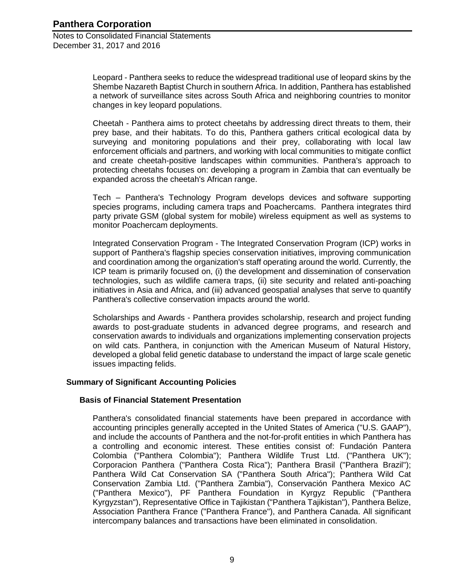> Leopard - Panthera seeks to reduce the widespread traditional use of leopard skins by the Shembe Nazareth Baptist Church in southern Africa. In addition, Panthera has established a network of surveillance sites across South Africa and neighboring countries to monitor changes in key leopard populations.

> Cheetah - Panthera aims to protect cheetahs by addressing direct threats to them, their prey base, and their habitats. To do this, Panthera gathers critical ecological data by surveying and monitoring populations and their prey, collaborating with local law enforcement officials and partners, and working with local communities to mitigate conflict and create cheetah-positive landscapes within communities. Panthera's approach to protecting cheetahs focuses on: developing a program in Zambia that can eventually be expanded across the cheetah's African range.

> Tech – Panthera's Technology Program develops devices and software supporting species programs, including camera traps and Poachercams. Panthera integrates third party private GSM (global system for mobile) wireless equipment as well as systems to monitor Poachercam deployments.

> Integrated Conservation Program - The Integrated Conservation Program (ICP) works in support of Panthera's flagship species conservation initiatives, improving communication and coordination among the organization's staff operating around the world. Currently, the ICP team is primarily focused on, (i) the development and dissemination of conservation technologies, such as wildlife camera traps, (ii) site security and related anti-poaching initiatives in Asia and Africa, and (iii) advanced geospatial analyses that serve to quantify Panthera's collective conservation impacts around the world.

> Scholarships and Awards - Panthera provides scholarship, research and project funding awards to post-graduate students in advanced degree programs, and research and conservation awards to individuals and organizations implementing conservation projects on wild cats. Panthera, in conjunction with the American Museum of Natural History, developed a global felid genetic database to understand the impact of large scale genetic issues impacting felids.

#### **Summary of Significant Accounting Policies**

#### **Basis of Financial Statement Presentation**

Panthera's consolidated financial statements have been prepared in accordance with accounting principles generally accepted in the United States of America ("U.S. GAAP"), and include the accounts of Panthera and the not-for-profit entities in which Panthera has a controlling and economic interest. These entities consist of: Fundación Pantera Colombia ("Panthera Colombia"); Panthera Wildlife Trust Ltd. ("Panthera UK"); Corporacion Panthera ("Panthera Costa Rica"); Panthera Brasil ("Panthera Brazil"); Panthera Wild Cat Conservation SA ("Panthera South Africa"); Panthera Wild Cat Conservation Zambia Ltd. ("Panthera Zambia"), Conservación Panthera Mexico AC ("Panthera Mexico"), PF Panthera Foundation in Kyrgyz Republic ("Panthera Kyrgyzstan"), Representative Office in Tajikistan ("Panthera Tajikistan"), Panthera Belize, Association Panthera France ("Panthera France"), and Panthera Canada. All significant intercompany balances and transactions have been eliminated in consolidation.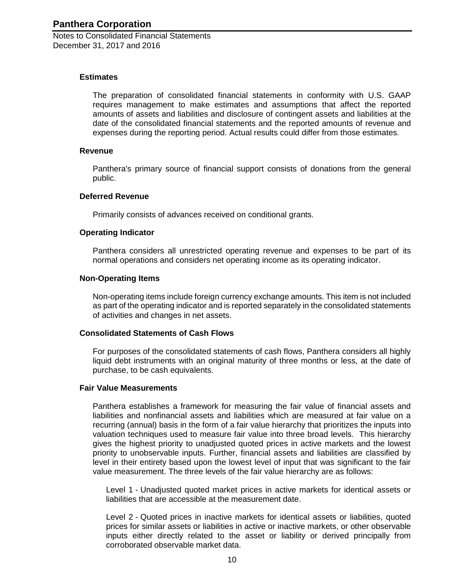#### **Estimates**

The preparation of consolidated financial statements in conformity with U.S. GAAP requires management to make estimates and assumptions that affect the reported amounts of assets and liabilities and disclosure of contingent assets and liabilities at the date of the consolidated financial statements and the reported amounts of revenue and expenses during the reporting period. Actual results could differ from those estimates.

#### **Revenue**

Panthera's primary source of financial support consists of donations from the general public.

#### **Deferred Revenue**

Primarily consists of advances received on conditional grants.

#### **Operating Indicator**

Panthera considers all unrestricted operating revenue and expenses to be part of its normal operations and considers net operating income as its operating indicator.

#### **Non-Operating Items**

Non-operating items include foreign currency exchange amounts. This item is not included as part of the operating indicator and is reported separately in the consolidated statements of activities and changes in net assets.

#### **Consolidated Statements of Cash Flows**

For purposes of the consolidated statements of cash flows, Panthera considers all highly liquid debt instruments with an original maturity of three months or less, at the date of purchase, to be cash equivalents.

#### **Fair Value Measurements**

Panthera establishes a framework for measuring the fair value of financial assets and liabilities and nonfinancial assets and liabilities which are measured at fair value on a recurring (annual) basis in the form of a fair value hierarchy that prioritizes the inputs into valuation techniques used to measure fair value into three broad levels. This hierarchy gives the highest priority to unadjusted quoted prices in active markets and the lowest priority to unobservable inputs. Further, financial assets and liabilities are classified by level in their entirety based upon the lowest level of input that was significant to the fair value measurement. The three levels of the fair value hierarchy are as follows:

Level 1 - Unadjusted quoted market prices in active markets for identical assets or liabilities that are accessible at the measurement date.

Level 2 - Quoted prices in inactive markets for identical assets or liabilities, quoted prices for similar assets or liabilities in active or inactive markets, or other observable inputs either directly related to the asset or liability or derived principally from corroborated observable market data.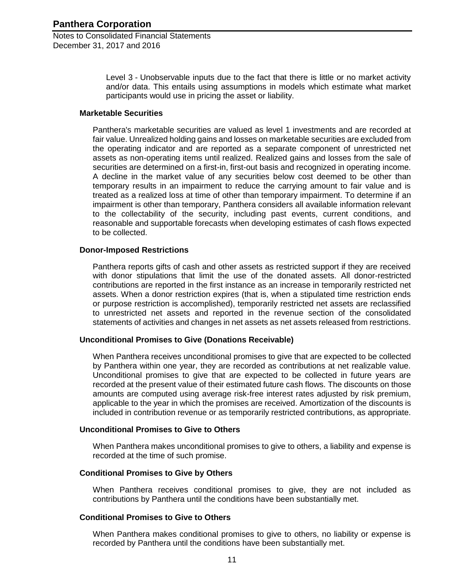> Level 3 - Unobservable inputs due to the fact that there is little or no market activity and/or data. This entails using assumptions in models which estimate what market participants would use in pricing the asset or liability.

#### **Marketable Securities**

Panthera's marketable securities are valued as level 1 investments and are recorded at fair value. Unrealized holding gains and losses on marketable securities are excluded from the operating indicator and are reported as a separate component of unrestricted net assets as non-operating items until realized. Realized gains and losses from the sale of securities are determined on a first-in, first-out basis and recognized in operating income. A decline in the market value of any securities below cost deemed to be other than temporary results in an impairment to reduce the carrying amount to fair value and is treated as a realized loss at time of other than temporary impairment. To determine if an impairment is other than temporary, Panthera considers all available information relevant to the collectability of the security, including past events, current conditions, and reasonable and supportable forecasts when developing estimates of cash flows expected to be collected.

#### **Donor-Imposed Restrictions**

Panthera reports gifts of cash and other assets as restricted support if they are received with donor stipulations that limit the use of the donated assets. All donor-restricted contributions are reported in the first instance as an increase in temporarily restricted net assets. When a donor restriction expires (that is, when a stipulated time restriction ends or purpose restriction is accomplished), temporarily restricted net assets are reclassified to unrestricted net assets and reported in the revenue section of the consolidated statements of activities and changes in net assets as net assets released from restrictions.

#### **Unconditional Promises to Give (Donations Receivable)**

When Panthera receives unconditional promises to give that are expected to be collected by Panthera within one year, they are recorded as contributions at net realizable value. Unconditional promises to give that are expected to be collected in future years are recorded at the present value of their estimated future cash flows. The discounts on those amounts are computed using average risk-free interest rates adjusted by risk premium, applicable to the year in which the promises are received. Amortization of the discounts is included in contribution revenue or as temporarily restricted contributions, as appropriate.

#### **Unconditional Promises to Give to Others**

When Panthera makes unconditional promises to give to others, a liability and expense is recorded at the time of such promise.

#### **Conditional Promises to Give by Others**

When Panthera receives conditional promises to give, they are not included as contributions by Panthera until the conditions have been substantially met.

#### **Conditional Promises to Give to Others**

When Panthera makes conditional promises to give to others, no liability or expense is recorded by Panthera until the conditions have been substantially met.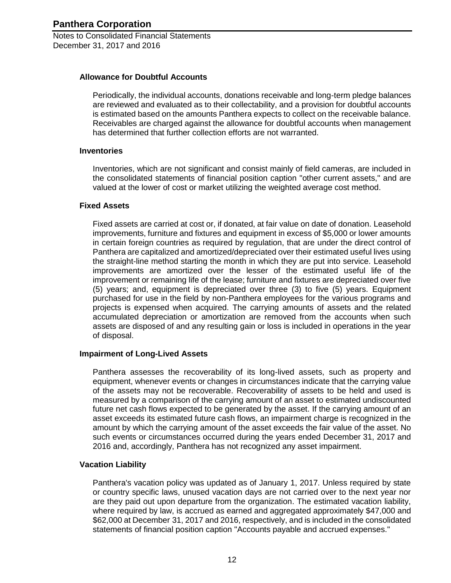#### **Allowance for Doubtful Accounts**

Periodically, the individual accounts, donations receivable and long-term pledge balances are reviewed and evaluated as to their collectability, and a provision for doubtful accounts is estimated based on the amounts Panthera expects to collect on the receivable balance. Receivables are charged against the allowance for doubtful accounts when management has determined that further collection efforts are not warranted.

#### **Inventories**

Inventories, which are not significant and consist mainly of field cameras, are included in the consolidated statements of financial position caption "other current assets," and are valued at the lower of cost or market utilizing the weighted average cost method.

#### **Fixed Assets**

Fixed assets are carried at cost or, if donated, at fair value on date of donation. Leasehold improvements, furniture and fixtures and equipment in excess of \$5,000 or lower amounts in certain foreign countries as required by regulation, that are under the direct control of Panthera are capitalized and amortized/depreciated over their estimated useful lives using the straight-line method starting the month in which they are put into service. Leasehold improvements are amortized over the lesser of the estimated useful life of the improvement or remaining life of the lease; furniture and fixtures are depreciated over five (5) years; and, equipment is depreciated over three (3) to five (5) years. Equipment purchased for use in the field by non-Panthera employees for the various programs and projects is expensed when acquired. The carrying amounts of assets and the related accumulated depreciation or amortization are removed from the accounts when such assets are disposed of and any resulting gain or loss is included in operations in the year of disposal.

#### **Impairment of Long-Lived Assets**

Panthera assesses the recoverability of its long-lived assets, such as property and equipment, whenever events or changes in circumstances indicate that the carrying value of the assets may not be recoverable. Recoverability of assets to be held and used is measured by a comparison of the carrying amount of an asset to estimated undiscounted future net cash flows expected to be generated by the asset. If the carrying amount of an asset exceeds its estimated future cash flows, an impairment charge is recognized in the amount by which the carrying amount of the asset exceeds the fair value of the asset. No such events or circumstances occurred during the years ended December 31, 2017 and 2016 and, accordingly, Panthera has not recognized any asset impairment.

#### **Vacation Liability**

Panthera's vacation policy was updated as of January 1, 2017. Unless required by state or country specific laws, unused vacation days are not carried over to the next year nor are they paid out upon departure from the organization. The estimated vacation liability, where required by law, is accrued as earned and aggregated approximately \$47,000 and \$62,000 at December 31, 2017 and 2016, respectively, and is included in the consolidated statements of financial position caption "Accounts payable and accrued expenses."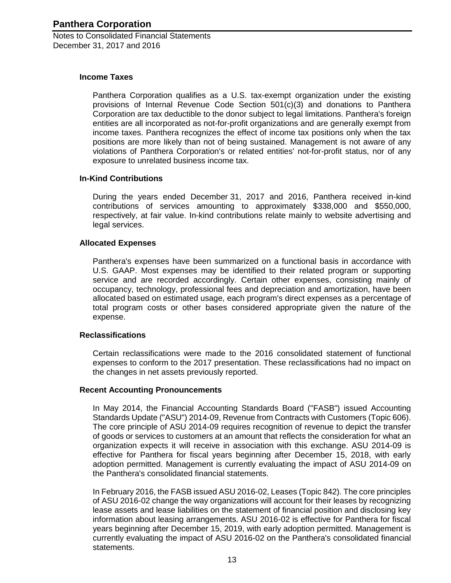#### **Income Taxes**

Panthera Corporation qualifies as a U.S. tax-exempt organization under the existing provisions of Internal Revenue Code Section 501(c)(3) and donations to Panthera Corporation are tax deductible to the donor subject to legal limitations. Panthera's foreign entities are all incorporated as not-for-profit organizations and are generally exempt from income taxes. Panthera recognizes the effect of income tax positions only when the tax positions are more likely than not of being sustained. Management is not aware of any violations of Panthera Corporation's or related entities' not-for-profit status, nor of any exposure to unrelated business income tax.

#### **In-Kind Contributions**

During the years ended December 31, 2017 and 2016, Panthera received in-kind contributions of services amounting to approximately \$338,000 and \$550,000, respectively, at fair value. In-kind contributions relate mainly to website advertising and legal services.

#### **Allocated Expenses**

Panthera's expenses have been summarized on a functional basis in accordance with U.S. GAAP. Most expenses may be identified to their related program or supporting service and are recorded accordingly. Certain other expenses, consisting mainly of occupancy, technology, professional fees and depreciation and amortization, have been allocated based on estimated usage, each program's direct expenses as a percentage of total program costs or other bases considered appropriate given the nature of the expense.

#### **Reclassifications**

Certain reclassifications were made to the 2016 consolidated statement of functional expenses to conform to the 2017 presentation. These reclassifications had no impact on the changes in net assets previously reported.

#### **Recent Accounting Pronouncements**

In May 2014, the Financial Accounting Standards Board ("FASB") issued Accounting Standards Update ("ASU") 2014-09, Revenue from Contracts with Customers (Topic 606). The core principle of ASU 2014-09 requires recognition of revenue to depict the transfer of goods or services to customers at an amount that reflects the consideration for what an organization expects it will receive in association with this exchange. ASU 2014-09 is effective for Panthera for fiscal years beginning after December 15, 2018, with early adoption permitted. Management is currently evaluating the impact of ASU 2014-09 on the Panthera's consolidated financial statements.

In February 2016, the FASB issued ASU 2016-02, Leases (Topic 842). The core principles of ASU 2016-02 change the way organizations will account for their leases by recognizing lease assets and lease liabilities on the statement of financial position and disclosing key information about leasing arrangements. ASU 2016-02 is effective for Panthera for fiscal years beginning after December 15, 2019, with early adoption permitted. Management is currently evaluating the impact of ASU 2016-02 on the Panthera's consolidated financial statements.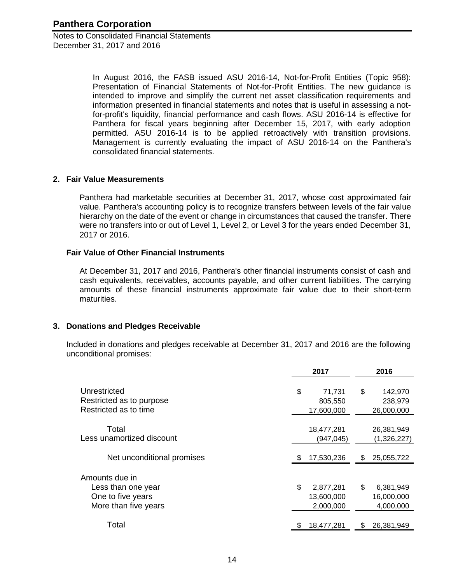> In August 2016, the FASB issued ASU 2016-14, Not-for-Profit Entities (Topic 958): Presentation of Financial Statements of Not-for-Profit Entities. The new guidance is intended to improve and simplify the current net asset classification requirements and information presented in financial statements and notes that is useful in assessing a notfor-profit's liquidity, financial performance and cash flows. ASU 2016-14 is effective for Panthera for fiscal years beginning after December 15, 2017, with early adoption permitted. ASU 2016-14 is to be applied retroactively with transition provisions. Management is currently evaluating the impact of ASU 2016-14 on the Panthera's consolidated financial statements.

#### **2. Fair Value Measurements**

Panthera had marketable securities at December 31, 2017, whose cost approximated fair value. Panthera's accounting policy is to recognize transfers between levels of the fair value hierarchy on the date of the event or change in circumstances that caused the transfer. There were no transfers into or out of Level 1, Level 2, or Level 3 for the years ended December 31, 2017 or 2016.

#### **Fair Value of Other Financial Instruments**

At December 31, 2017 and 2016, Panthera's other financial instruments consist of cash and cash equivalents, receivables, accounts payable, and other current liabilities. The carrying amounts of these financial instruments approximate fair value due to their short-term maturities.

#### **3. Donations and Pledges Receivable**

Included in donations and pledges receivable at December 31, 2017 and 2016 are the following unconditional promises:

|                                                                                   | 2017                                       | 2016                                       |
|-----------------------------------------------------------------------------------|--------------------------------------------|--------------------------------------------|
| Unrestricted<br>Restricted as to purpose<br>Restricted as to time                 | \$<br>71,731<br>805,550<br>17,600,000      | \$<br>142,970<br>238,979<br>26,000,000     |
| Total<br>Less unamortized discount                                                | 18,477,281<br>(947, 045)                   | 26,381,949<br>(1,326,227)                  |
| Net unconditional promises                                                        | 17,530,236                                 | 25,055,722                                 |
| Amounts due in<br>Less than one year<br>One to five years<br>More than five years | \$<br>2,877,281<br>13,600,000<br>2,000,000 | \$<br>6,381,949<br>16,000,000<br>4,000,000 |
| Total                                                                             | 18,477,281                                 | \$<br>26,381,949                           |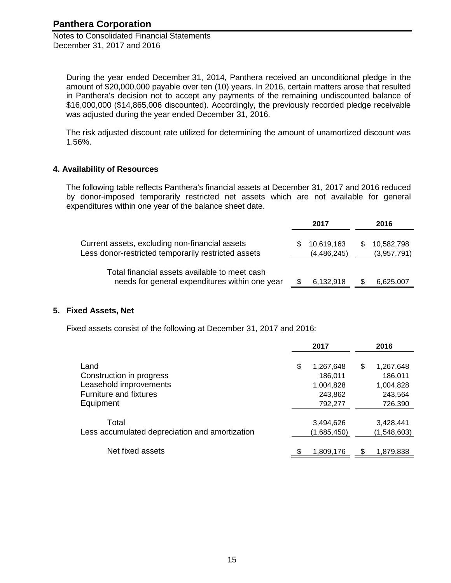During the year ended December 31, 2014, Panthera received an unconditional pledge in the amount of \$20,000,000 payable over ten (10) years. In 2016, certain matters arose that resulted in Panthera's decision not to accept any payments of the remaining undiscounted balance of \$16,000,000 (\$14,865,006 discounted). Accordingly, the previously recorded pledge receivable was adjusted during the year ended December 31, 2016.

The risk adjusted discount rate utilized for determining the amount of unamortized discount was 1.56%.

#### **4. Availability of Resources**

The following table reflects Panthera's financial assets at December 31, 2017 and 2016 reduced by donor-imposed temporarily restricted net assets which are not available for general expenditures within one year of the balance sheet date.

|                                                                                                       | 2017                        |     | 2016                      |
|-------------------------------------------------------------------------------------------------------|-----------------------------|-----|---------------------------|
| Current assets, excluding non-financial assets<br>Less donor-restricted temporarily restricted assets | 10,619,163<br>(4, 486, 245) | \$. | 10,582,798<br>(3,957,791) |
| Total financial assets available to meet cash<br>needs for general expenditures within one year       | 6,132,918                   |     | 6,625,007                 |

#### **5. Fixed Assets, Net**

Fixed assets consist of the following at December 31, 2017 and 2016:

|                                                                                             | 2017                                               | 2016                                               |
|---------------------------------------------------------------------------------------------|----------------------------------------------------|----------------------------------------------------|
| Land<br>Construction in progress<br>Leasehold improvements<br><b>Furniture and fixtures</b> | \$<br>1,267,648<br>186,011<br>1,004,828<br>243,862 | \$<br>1,267,648<br>186,011<br>1,004,828<br>243,564 |
| Equipment                                                                                   | 792,277                                            | 726,390                                            |
| Total<br>Less accumulated depreciation and amortization                                     | 3,494,626<br>(1,685,450)                           | 3,428,441<br>(1,548,603)                           |
| Net fixed assets                                                                            | \$<br>1,809,176                                    | 1,879,838                                          |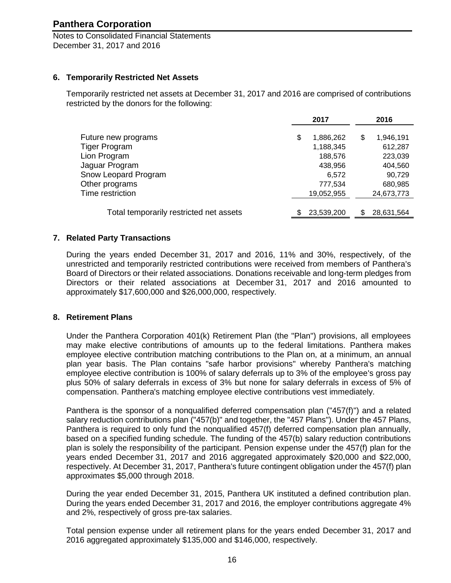Notes to Consolidated Financial Statements December 31, 2017 and 2016

#### **6. Temporarily Restricted Net Assets**

Temporarily restricted net assets at December 31, 2017 and 2016 are comprised of contributions restricted by the donors for the following:

|                                         | 2017            |    | 2016       |
|-----------------------------------------|-----------------|----|------------|
| Future new programs                     | \$<br>1,886,262 | \$ | 1,946,191  |
| Tiger Program                           | 1,188,345       |    | 612,287    |
| Lion Program                            | 188,576         |    | 223,039    |
| Jaguar Program                          | 438,956         |    | 404,560    |
| Snow Leopard Program                    | 6,572           |    | 90,729     |
| Other programs                          | 777,534         |    | 680,985    |
| Time restriction                        | 19,052,955      |    | 24,673,773 |
|                                         |                 |    |            |
| Total temporarily restricted net assets | 23,539,200      | S. | 28,631,564 |

#### **7. Related Party Transactions**

During the years ended December 31, 2017 and 2016, 11% and 30%, respectively, of the unrestricted and temporarily restricted contributions were received from members of Panthera's Board of Directors or their related associations. Donations receivable and long-term pledges from Directors or their related associations at December 31, 2017 and 2016 amounted to approximately \$17,600,000 and \$26,000,000, respectively.

#### **8. Retirement Plans**

Under the Panthera Corporation 401(k) Retirement Plan (the "Plan") provisions, all employees may make elective contributions of amounts up to the federal limitations. Panthera makes employee elective contribution matching contributions to the Plan on, at a minimum, an annual plan year basis. The Plan contains "safe harbor provisions" whereby Panthera's matching employee elective contribution is 100% of salary deferrals up to 3% of the employee's gross pay plus 50% of salary deferrals in excess of 3% but none for salary deferrals in excess of 5% of compensation. Panthera's matching employee elective contributions vest immediately.

Panthera is the sponsor of a nonqualified deferred compensation plan ("457(f)") and a related salary reduction contributions plan ("457(b)" and together, the "457 Plans"). Under the 457 Plans, Panthera is required to only fund the nonqualified 457(f) deferred compensation plan annually, based on a specified funding schedule. The funding of the 457(b) salary reduction contributions plan is solely the responsibility of the participant. Pension expense under the 457(f) plan for the years ended December 31, 2017 and 2016 aggregated approximately \$20,000 and \$22,000, respectively. At December 31, 2017, Panthera's future contingent obligation under the 457(f) plan approximates \$5,000 through 2018.

During the year ended December 31, 2015, Panthera UK instituted a defined contribution plan. During the years ended December 31, 2017 and 2016, the employer contributions aggregate 4% and 2%, respectively of gross pre-tax salaries.

Total pension expense under all retirement plans for the years ended December 31, 2017 and 2016 aggregated approximately \$135,000 and \$146,000, respectively.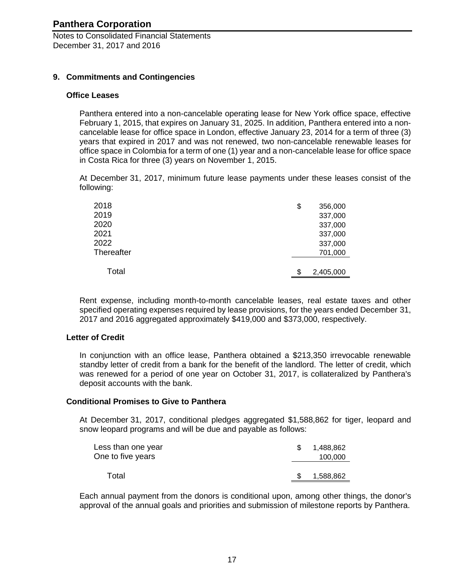### **9. Commitments and Contingencies**

#### **Office Leases**

Panthera entered into a non-cancelable operating lease for New York office space, effective February 1, 2015, that expires on January 31, 2025. In addition, Panthera entered into a noncancelable lease for office space in London, effective January 23, 2014 for a term of three (3) years that expired in 2017 and was not renewed, two non-cancelable renewable leases for office space in Colombia for a term of one (1) year and a non-cancelable lease for office space in Costa Rica for three (3) years on November 1, 2015.

At December 31, 2017, minimum future lease payments under these leases consist of the following:

| 2018       | \$<br>356,000 |
|------------|---------------|
| 2019       | 337,000       |
| 2020       | 337,000       |
| 2021       | 337,000       |
| 2022       | 337,000       |
| Thereafter | 701,000       |
|            |               |
| Total      | 2,405,000     |

Rent expense, including month-to-month cancelable leases, real estate taxes and other specified operating expenses required by lease provisions, for the years ended December 31, 2017 and 2016 aggregated approximately \$419,000 and \$373,000, respectively.

#### **Letter of Credit**

In conjunction with an office lease, Panthera obtained a \$213,350 irrevocable renewable standby letter of credit from a bank for the benefit of the landlord. The letter of credit, which was renewed for a period of one year on October 31, 2017, is collateralized by Panthera's deposit accounts with the bank.

#### **Conditional Promises to Give to Panthera**

At December 31, 2017, conditional pledges aggregated \$1,588,862 for tiger, leopard and snow leopard programs and will be due and payable as follows:

| Less than one year |  | 1,488,862 |
|--------------------|--|-----------|
| One to five years  |  | 100,000   |
|                    |  |           |
| Total              |  | 1,588,862 |

Each annual payment from the donors is conditional upon, among other things, the donor's approval of the annual goals and priorities and submission of milestone reports by Panthera.